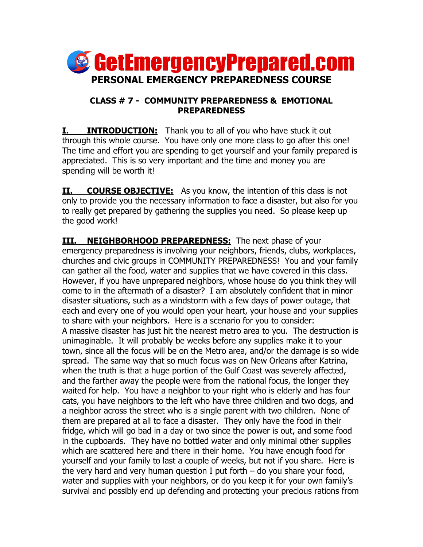

## **CLASS # 7 - COMMUNITY PREPAREDNESS & EMOTIONAL PREPAREDNESS**

**I. INTRODUCTION:** Thank you to all of you who have stuck it out through this whole course. You have only one more class to go after this one! The time and effort you are spending to get yourself and your family prepared is appreciated. This is so very important and the time and money you are spending will be worth it!

**II. COURSE OBJECTIVE:** As you know, the intention of this class is not only to provide you the necessary information to face a disaster, but also for you to really get prepared by gathering the supplies you need. So please keep up the good work!

**III. NEIGHBORHOOD PREPAREDNESS:** The next phase of your emergency preparedness is involving your neighbors, friends, clubs, workplaces, churches and civic groups in COMMUNITY PREPAREDNESS! You and your family can gather all the food, water and supplies that we have covered in this class. However, if you have unprepared neighbors, whose house do you think they will come to in the aftermath of a disaster? I am absolutely confident that in minor disaster situations, such as a windstorm with a few days of power outage, that each and every one of you would open your heart, your house and your supplies to share with your neighbors. Here is a scenario for you to consider: A massive disaster has just hit the nearest metro area to you. The destruction is unimaginable. It will probably be weeks before any supplies make it to your town, since all the focus will be on the Metro area, and/or the damage is so wide spread. The same way that so much focus was on New Orleans after Katrina, when the truth is that a huge portion of the Gulf Coast was severely affected, and the farther away the people were from the national focus, the longer they waited for help. You have a neighbor to your right who is elderly and has four cats, you have neighbors to the left who have three children and two dogs, and a neighbor across the street who is a single parent with two children. None of them are prepared at all to face a disaster. They only have the food in their fridge, which will go bad in a day or two since the power is out, and some food in the cupboards. They have no bottled water and only minimal other supplies which are scattered here and there in their home. You have enough food for yourself and your family to last a couple of weeks, but not if you share. Here is the very hard and very human question I put forth – do you share your food, water and supplies with your neighbors, or do you keep it for your own family's survival and possibly end up defending and protecting your precious rations from